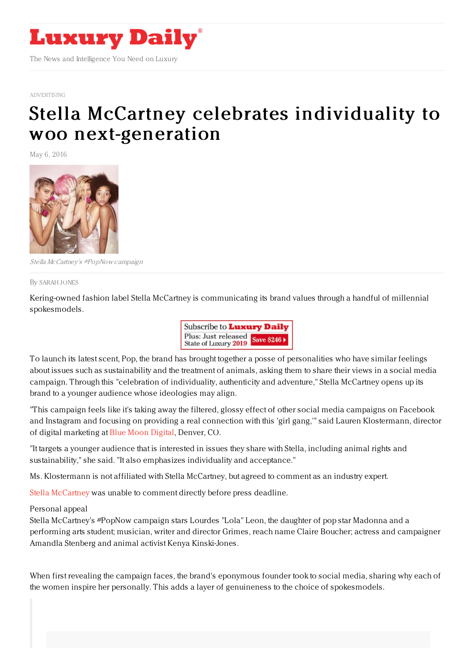

[ADVERTISING](https://www.luxurydaily.com/category/news/advertising/)

## Stella McCartney celebrates individuality to woo [next-generation](https://www.luxurydaily.com/stella-mccartney-celebrates-individuality-to-woo-next-generation/)

May 6, 2016



Stella McCartney's #PopNow campaign

By [SARAH](file:///author/sarah-jones) JONES

Kering-owned fashion label Stella McCartney is communicating its brand values through a handful of millennial spokesmodels.



To launch its latest scent, Pop, the brand has brought together a posse of personalities who have similar feelings about issues such as sustainability and the treatment of animals, asking them to share their views in a social media campaign. Through this "celebration of individuality, authenticity and adventure," Stella McCartney opens up its brand to a younger audience whose ideologies may align.

"This campaign feels like it's taking away the filtered, glossy effect of other social media campaigns on Facebook and Instagram and focusing on providing a real connection with this 'girl gang,'" said Lauren Klostermann, director of digital marketing at Blue Moon [Digital](http://bluemoondigital.co/), Denver, CO.

"It targets a younger audience that is interested in issues they share with Stella, including animal rights and sustainability," she said. "It also emphasizes individuality and acceptance."

Ms. Klostermann is not affiliated with Stella McCartney, but agreed to comment as an industry expert.

Stella [McCartney](http://stellamccartney.com) was unable to comment directly before press deadline.

Personal appeal

Stella McCartney's #PopNow campaign stars Lourdes "Lola" Leon, the daughter of pop star Madonna and a performing arts student; musician, writer and director Grimes, reach name Claire Boucher; actress and campaigner Amandla Stenberg and animal activist Kenya Kinski-Jones.

When first revealing the campaign faces, the brand's eponymous founder took to social media, sharing why each of the women inspire her personally. This adds a layer of genuineness to the choice of spokesmodels.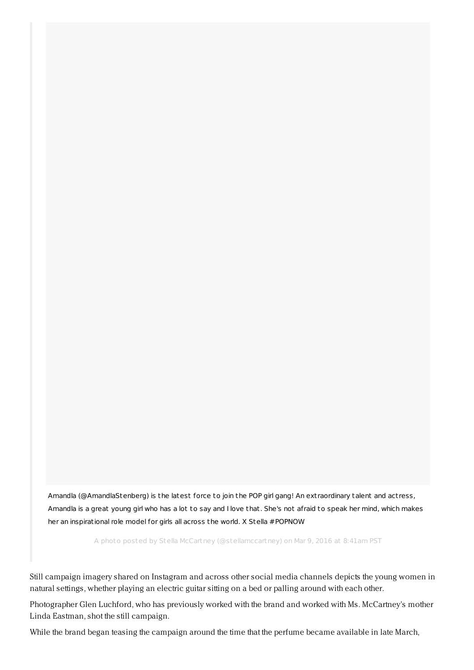Amandla [\(@AmandlaStenberg\)](https://www.instagram.com/p/BCvUa9crmPU/) is the latest force to join the POP girl gang! An ext raordinary talent and act ress, Amandla is a great young girl who has a lot to say and I love that. She's not afraid to speak her mind, which makes her an inspirational role model for girls all across the world. X Stella #POPNOW

A photo posted by Stella McCartney (@stellamccartney) on Mar 9, 2016 at 8:41am PST

Still campaign imagery shared on Instagram and across other social media channels depicts the young women in natural settings, whether playing an electric guitar sitting on a bed or palling around with each other.

Photographer Glen Luchford, who has previously worked with the brand and worked with Ms. McCartney's mother Linda Eastman, shot the still campaign.

While the brand began teasing the campaign around the time that the perfume became available in late March,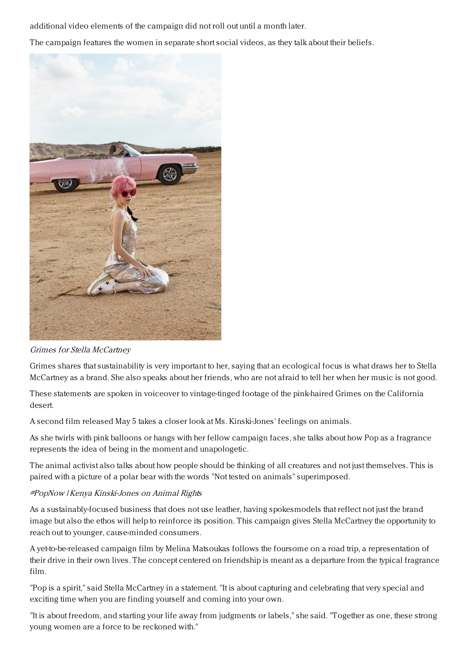additional video elements of the campaign did not roll out until a month later.

The campaign features the women in separate short social videos, as they talk about their beliefs.



Grimes for Stella McCartney

Grimes shares that sustainability is very important to her, saying that an ecological focus is what draws her to Stella McCartney as a brand. She also speaks about her friends, who are not afraid to tell her when her music is not good.

These statements are spoken in voiceover to vintage-tinged footage of the pink-haired Grimes on the California desert.

A second film released May 5 takes a closer look at Ms. Kinski-Jones' feelings on animals.

As she twirls with pink balloons or hangs with her fellow campaign faces, she talks about how Pop as a fragrance represents the idea of being in the moment and unapologetic.

The animal activist also talks about how people should be thinking of all creatures and not just themselves. This is paired with a picture of a polar bear with the words "Not tested on animals" superimposed.

## #PopNow | Kenya Kinski-Jones on Animal Rights

As a sustainably-focused business that does not use leather, having spokesmodels that reflect not just the brand image but also the ethos will help to reinforce its position. This campaign gives Stella McCartney the opportunity to reach out to younger, cause-minded consumers.

A yet-to-be-released campaign film by Melina Matsoukas follows the foursome on a road trip, a representation of their drive in their own lives. The concept centered on friendship is meant as a departure from the typical fragrance film.

"Pop is a spirit," said Stella McCartney in a statement. "It is about capturing and celebrating that very special and exciting time when you are finding yourself and coming into your own.

"It is about freedom, and starting your life away from judgments or labels," she said. "Together as one, these strong young women are a force to be reckoned with."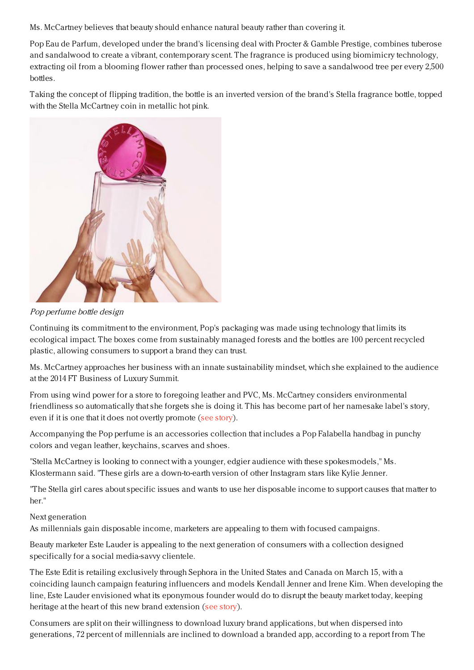Ms. McCartney believes that beauty should enhance natural beauty rather than covering it.

Pop Eau de Parfum, developed under the brand's licensing deal with Procter & Gamble Prestige, combines tuberose and sandalwood to create a vibrant, contemporary scent. The fragrance is produced using biomimicry technology, extracting oil from a blooming flower rather than processed ones, helping to save a sandalwood tree per every 2,500 bottles.

Taking the concept of flipping tradition, the bottle is an inverted version of the brand's Stella fragrance bottle, topped with the Stella McCartney coin in metallic hot pink.



Pop perfume bottle design

Continuing its commitment to the environment, Pop's packaging was made using technology that limits its ecological impact. The boxes come from sustainably managed forests and the bottles are 100 percent recycled plastic, allowing consumers to support a brand they can trust.

Ms. McCartney approaches her business with an innate sustainability mindset, which she explained to the audience at the 2014 FT Business of Luxury Summit.

From using wind power for a store to foregoing leather and PVC, Ms. McCartney considers environmental friendliness so automatically that she forgets she is doing it. This has become part of her namesake label's story, even if it is one that it does not overtly promote (see [story](https://www.luxurydaily.com/sustainability-in-luxury-fashion-should-be-a-no-brainer-stella-mccartney/)).

Accompanying the Pop perfume is an accessories collection that includes a Pop Falabella handbag in punchy colors and vegan leather, keychains, scarves and shoes.

"Stella McCartney is looking to connect with a younger, edgier audience with these spokesmodels," Ms. Klostermann said. "These girls are a down-to-earth version of other Instagram stars like Kylie Jenner.

"The Stella girl cares about specific issues and wants to use her disposable income to support causes that matter to her."

## Next generation

As millennials gain disposable income, marketers are appealing to them with focused campaigns.

Beauty marketer Este Lauder is appealing to the next generation of consumers with a collection designed specifically for a social media-savvy clientele.

The Este Edit is retailing exclusively through Sephora in the United States and Canada on March 15, with a coinciding launch campaign featuring influencers and models Kendall Jenner and Irene Kim. When developing the line, Este Lauder envisioned what its eponymous founder would do to disrupt the beauty market today, keeping heritage at the heart of this new brand extension (see [story](https://www.luxurydaily.com/estee-lauder-blends-heritage-and-modernity-for-millennial-makeup-line/)).

Consumers are split on their willingness to download luxury brand applications, but when dispersed into generations, 72 percent of millennials are inclined to download a branded app, according to a report from The